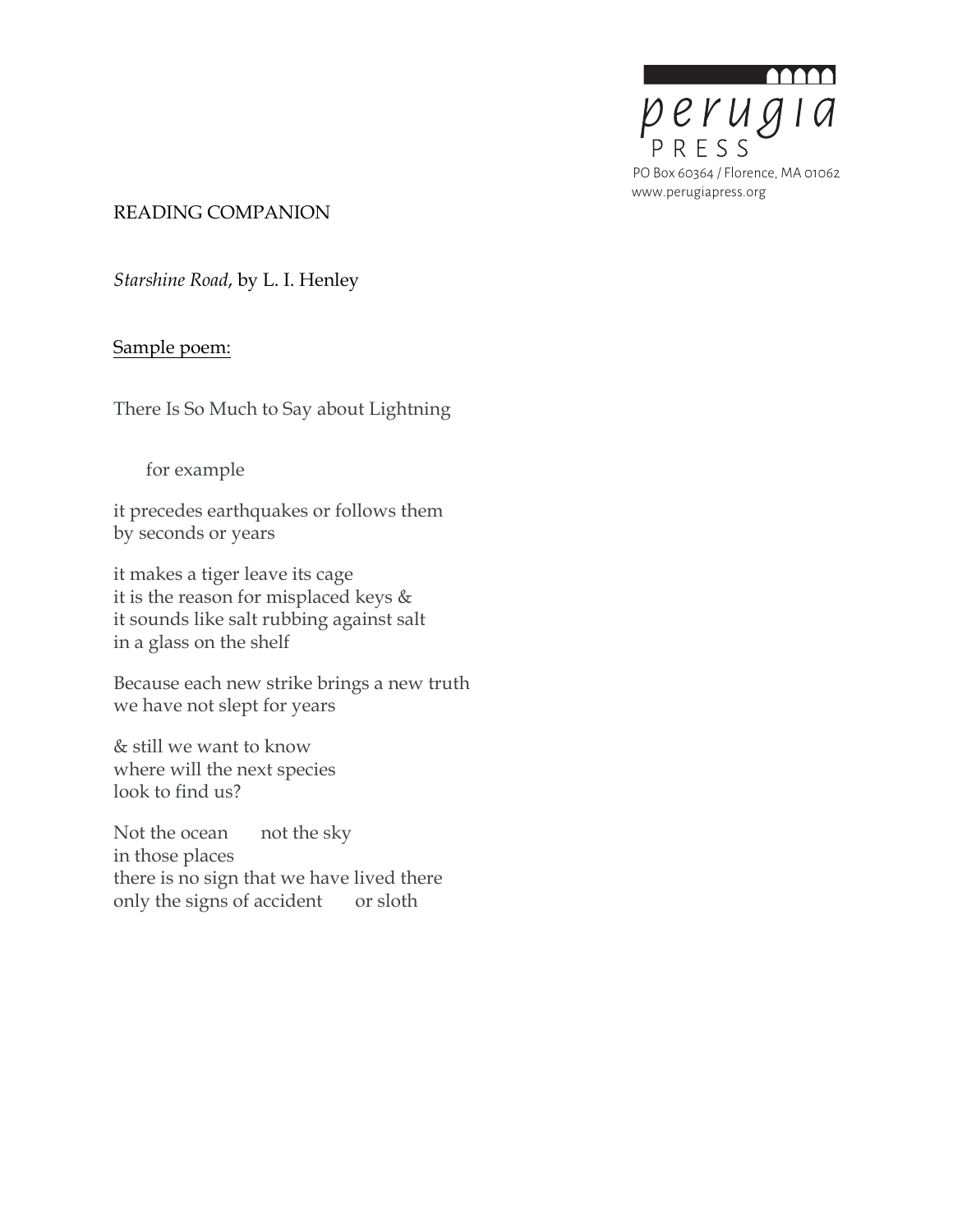

#### READING COMPANION

*Starshine Road*, by L. I. Henley

# Sample poem:

There Is So Much to Say about Lightning

for example

it precedes earthquakes or follows them by seconds or years

it makes a tiger leave its cage it is the reason for misplaced keys & it sounds like salt rubbing against salt in a glass on the shelf

Because each new strike brings a new truth we have not slept for years

& still we want to know where will the next species look to find us?

Not the ocean not the sky in those places there is no sign that we have lived there only the signs of accident or sloth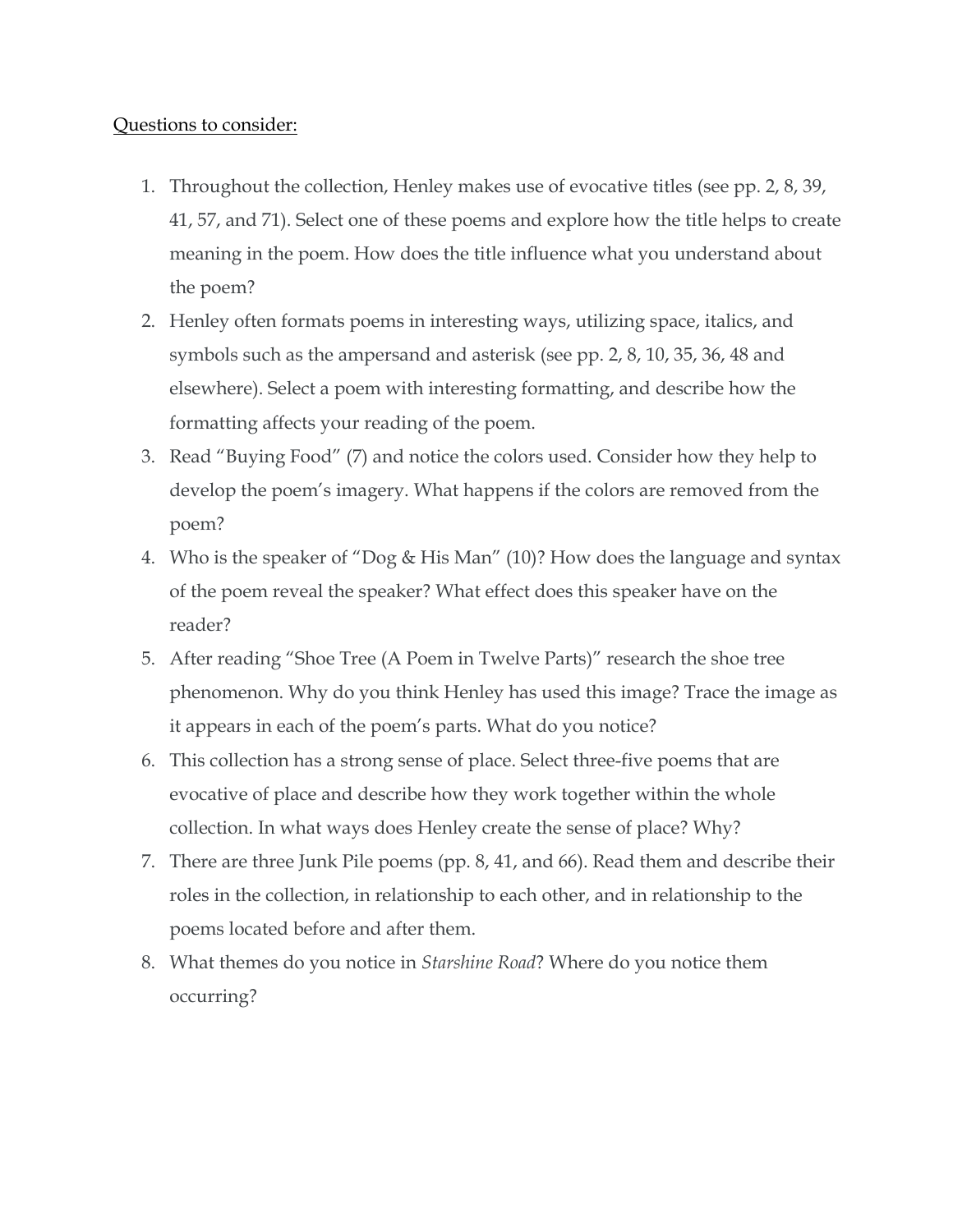# Questions to consider:

- 1. Throughout the collection, Henley makes use of evocative titles (see pp. 2, 8, 39, 41, 57, and 71). Select one of these poems and explore how the title helps to create meaning in the poem. How does the title influence what you understand about the poem?
- 2. Henley often formats poems in interesting ways, utilizing space, italics, and symbols such as the ampersand and asterisk (see pp. 2, 8, 10, 35, 36, 48 and elsewhere). Select a poem with interesting formatting, and describe how the formatting affects your reading of the poem.
- 3. Read "Buying Food" (7) and notice the colors used. Consider how they help to develop the poem's imagery. What happens if the colors are removed from the poem?
- 4. Who is the speaker of "Dog & His Man" (10)? How does the language and syntax of the poem reveal the speaker? What effect does this speaker have on the reader?
- 5. After reading "Shoe Tree (A Poem in Twelve Parts)" research the shoe tree phenomenon. Why do you think Henley has used this image? Trace the image as it appears in each of the poem's parts. What do you notice?
- 6. This collection has a strong sense of place. Select three-five poems that are evocative of place and describe how they work together within the whole collection. In what ways does Henley create the sense of place? Why?
- 7. There are three Junk Pile poems (pp. 8, 41, and 66). Read them and describe their roles in the collection, in relationship to each other, and in relationship to the poems located before and after them.
- 8. What themes do you notice in *Starshine Road*? Where do you notice them occurring?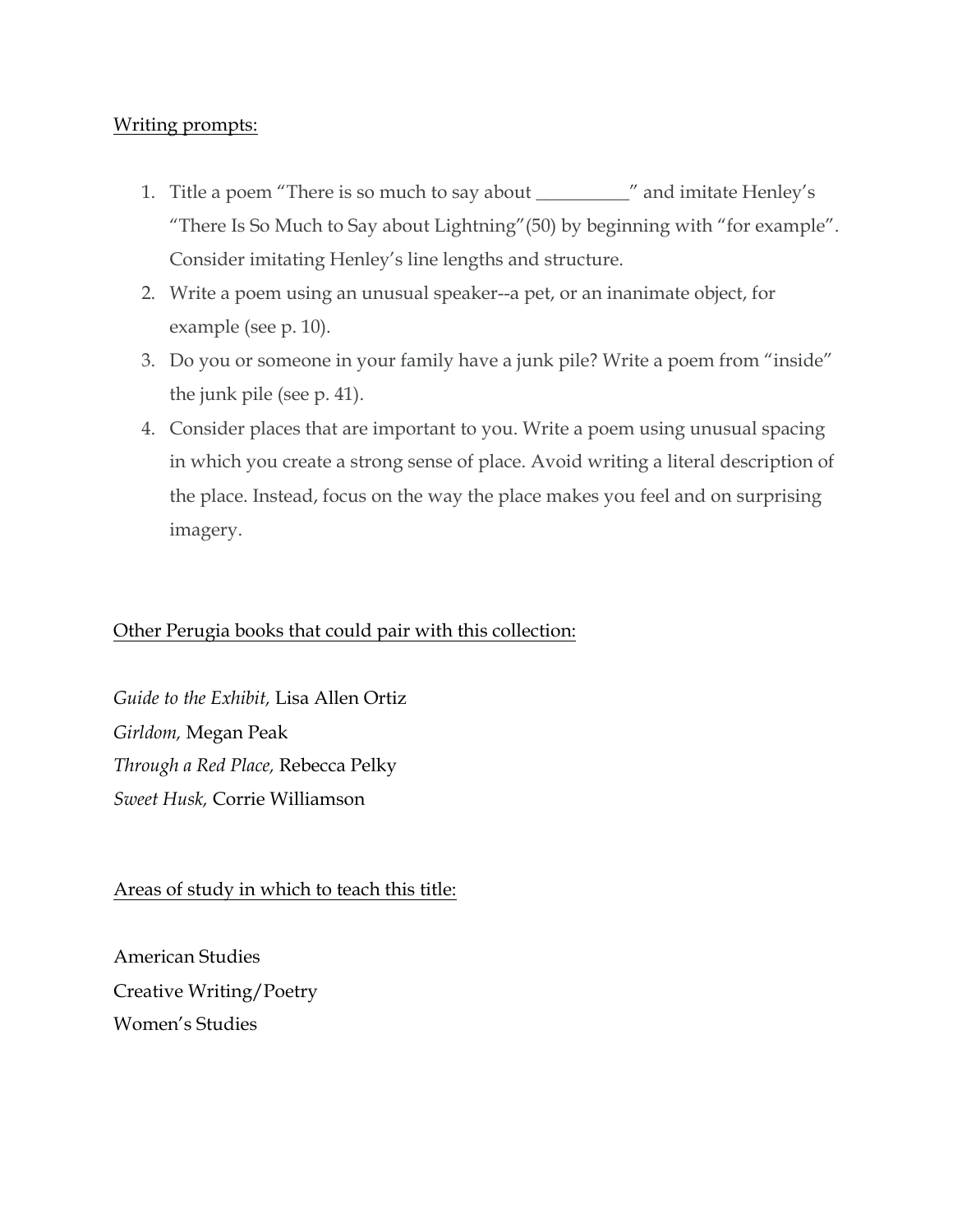# Writing prompts:

- 1. Title a poem "There is so much to say about \_\_\_\_\_\_\_\_\_\_" and imitate Henley's "There Is So Much to Say about Lightning"(50) by beginning with "for example". Consider imitating Henley's line lengths and structure.
- 2. Write a poem using an unusual speaker--a pet, or an inanimate object, for example (see p. 10).
- 3. Do you or someone in your family have a junk pile? Write a poem from "inside" the junk pile (see p. 41).
- 4. Consider places that are important to you. Write a poem using unusual spacing in which you create a strong sense of place. Avoid writing a literal description of the place. Instead, focus on the way the place makes you feel and on surprising imagery.

# Other Perugia books that could pair with this collection:

*Guide to the Exhibit,* Lisa Allen Ortiz *Girldom,* Megan Peak *Through a Red Place,* Rebecca Pelky *Sweet Husk,* Corrie Williamson

Areas of study in which to teach this title:

American Studies Creative Writing/Poetry Women's Studies